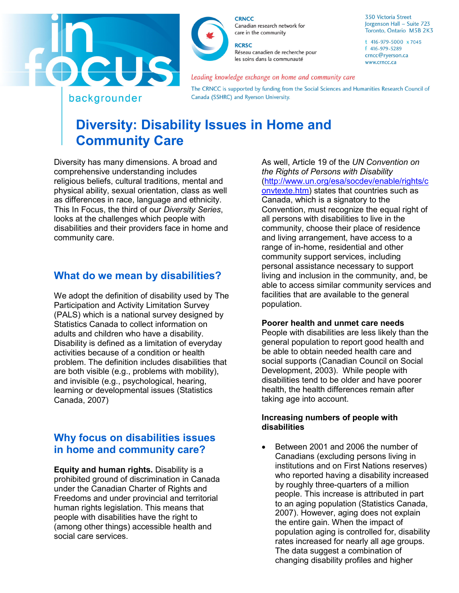



**CRNCC** Canadian research network for care in the community

**RCRSC** Réseau canadien de recherche pour les soins dans la communauté

Leading knowledge exchange on home and community care

The CRNCC is supported by funding from the Social Sciences and Humanities Research Council of Canada (SSHRC) and Ryerson University.

# backgrounder

# **Diversity: Disability Issues in Home and Community Care**

Diversity has many dimensions. A broad and comprehensive understanding includes religious beliefs, cultural traditions, mental and physical ability, sexual orientation, class as well as differences in race, language and ethnicity. This In Focus, the third of our *Diversity Series*, looks at the challenges which people with disabilities and their providers face in home and community care.

# **What do we mean by disabilities?**

We adopt the definition of disability used by The Participation and Activity Limitation Survey (PALS) which is a national survey designed by Statistics Canada to collect information on adults and children who have a disability. Disability is defined as a limitation of everyday activities because of a condition or health problem. The definition includes disabilities that are both visible (e.g., problems with mobility), and invisible (e.g., psychological, hearing, learning or developmental issues (Statistics Canada, 2007)

# **Why focus on disabilities issues in home and community care?**

**Equity and human rights.** Disability is a prohibited ground of discrimination in Canada under the Canadian Charter of Rights and Freedoms and under provincial and territorial human rights legislation. This means that people with disabilities have the right to (among other things) accessible health and social care services.

As well, Article 19 of the *UN Convention on the Rights of Persons with Disability* [\(http://www.un.org/esa/socdev/enable/rights/c](http://www.un.org/esa/socdev/enable/rights/convtexte.htm) [onvtexte.htm\)](http://www.un.org/esa/socdev/enable/rights/convtexte.htm) states that countries such as Canada, which is a signatory to the Convention, must recognize the equal right of all persons with disabilities to live in the community, choose their place of residence and living arrangement, have access to a range of in-home, residential and other community support services, including personal assistance necessary to support living and inclusion in the community, and, be able to access similar community services and facilities that are available to the general population.

### **Poorer health and unmet care needs**

People with disabilities are less likely than the general population to report good health and be able to obtain needed health care and social supports (Canadian Council on Social Development, 2003). While people with disabilities tend to be older and have poorer health, the health differences remain after taking age into account.

#### **Increasing numbers of people with disabilities**

• Between 2001 and 2006 the number of Canadians (excluding persons living in institutions and on First Nations reserves) who reported having a disability increased by roughly three-quarters of a million people. This increase is attributed in part to an aging population (Statistics Canada, 2007). However, aging does not explain the entire gain. When the impact of population aging is controlled for, disability rates increased for nearly all age groups. The data suggest a combination of changing disability profiles and higher

350 Victoria Street Jorgenson Hall - Suite 723 Toronto, Ontario M5B 2K3

t 416-979-5000 x 7045 f 416-979-5289 crncc@ryerson.ca www.crncc.ca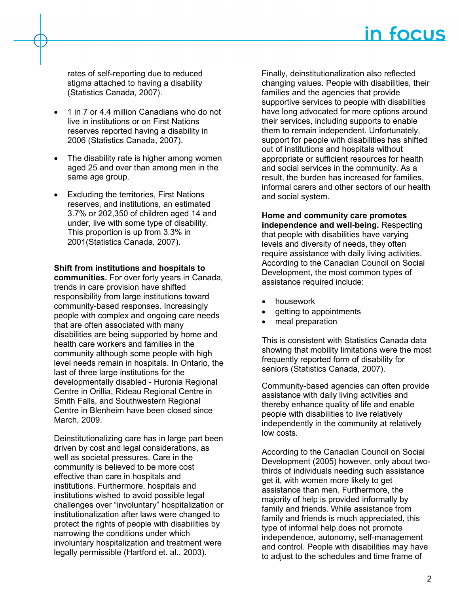rates of self-reporting due to reduced stigma attached to having a disability (Statistics Canada, 2007).

- 1 in 7 or 4.4 million Canadians who do not live in institutions or on First Nations reserves reported having a disability in 2006 (Statistics Canada, 2007).
- The disability rate is higher among women aged 25 and over than among men in the same age group.
- **Excluding the territories, First Nations** reserves, and institutions, an estimated 3.7% or 202,350 of children aged 14 and under, live with some type of disability. This proportion is up from 3.3% in 2001(Statistics Canada, 2007).

#### **Shift from institutions and hospitals to**

**communities.** For over forty years in Canada, trends in care provision have shifted responsibility from large institutions toward community-based responses. Increasingly people with complex and ongoing care needs that are often associated with many disabilities are being supported by home and health care workers and families in the community although some people with high level needs remain in hospitals. In Ontario, the last of three large institutions for the developmentally disabled - Huronia Regional Centre in Orillia, Rideau Regional Centre in Smith Falls, and Southwestern Regional Centre in Blenheim have been closed since March, 2009.

Deinstitutionalizing care has in large part been driven by cost and legal considerations, as well as societal pressures. Care in the community is believed to be more cost effective than care in hospitals and institutions. Furthermore, hospitals and institutions wished to avoid possible legal challenges over "involuntary" hospitalization or institutionalization after laws were changed to protect the rights of people with disabilities by narrowing the conditions under which involuntary hospitalization and treatment were legally permissible (Hartford et. al., 2003).

Finally, deinstitutionalization also reflected changing values. People with disabilities, their families and the agencies that provide supportive services to people with disabilities have long advocated for more options around their services, including supports to enable them to remain independent. Unfortunately, support for people with disabilities has shifted out of institutions and hospitals without appropriate or sufficient resources for health and social services in the community. As a result, the burden has increased for families, informal carers and other sectors of our health and social system.

### **Home and community care promotes**

**independence and well-being.** Respecting that people with disabilities have varying levels and diversity of needs, they often require assistance with daily living activities. According to the Canadian Council on Social Development, the most common types of assistance required include:

- housework
- getting to appointments
- meal preparation

This is consistent with Statistics Canada data showing that mobility limitations were the most frequently reported form of disability for seniors (Statistics Canada, 2007).

Community-based agencies can often provide assistance with daily living activities and thereby enhance quality of life and enable people with disabilities to live relatively independently in the community at relatively low costs.

According to the Canadian Council on Social Development (2005) however, only about twothirds of individuals needing such assistance get it, with women more likely to get assistance than men. Furthermore, the majority of help is provided informally by family and friends. While assistance from family and friends is much appreciated, this type of informal help does not promote independence, autonomy, self-management and control. People with disabilities may have to adjust to the schedules and time frame of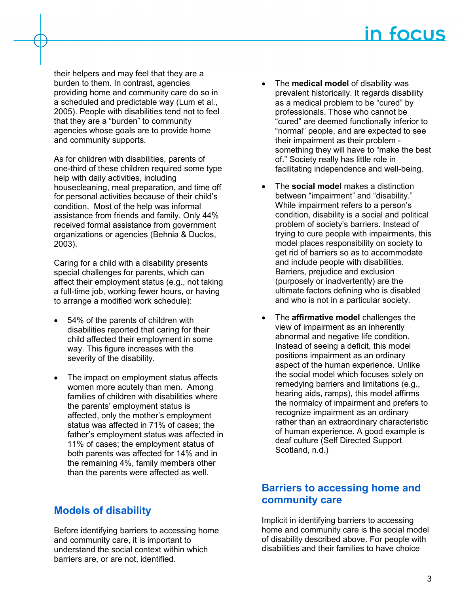their helpers and may feel that they are a burden to them. In contrast, agencies providing home and community care do so in a scheduled and predictable way (Lum et al., 2005). People with disabilities tend not to feel that they are a "burden" to community agencies whose goals are to provide home and community supports.

As for children with disabilities, parents of one-third of these children required some type help with daily activities, including housecleaning, meal preparation, and time off for personal activities because of their child's condition. Most of the help was informal assistance from friends and family. Only 44% received formal assistance from government organizations or agencies (Behnia & Duclos, 2003).

Caring for a child with a disability presents special challenges for parents, which can affect their employment status (e.g., not taking a full-time job, working fewer hours, or having to arrange a modified work schedule):

- 54% of the parents of children with disabilities reported that caring for their child affected their employment in some way. This figure increases with the severity of the disability.
- The impact on employment status affects women more acutely than men. Among families of children with disabilities where the parents' employment status is affected, only the mother's employment status was affected in 71% of cases; the father's employment status was affected in 11% of cases; the employment status of both parents was affected for 14% and in the remaining 4%, family members other than the parents were affected as well.

# **Models of disability**

Before identifying barriers to accessing home and community care, it is important to understand the social context within which barriers are, or are not, identified.

- The **medical model** of disability was prevalent historically. It regards disability as a medical problem to be "cured" by professionals. Those who cannot be "cured" are deemed functionally inferior to "normal" people, and are expected to see their impairment as their problem something they will have to "make the best of." Society really has little role in facilitating independence and well-being.
- The **social model** makes a distinction between "impairment" and "disability." While impairment refers to a person's condition, disability is a social and political problem of society's barriers. Instead of trying to cure people with impairments, this model places responsibility on society to get rid of barriers so as to accommodate and include people with disabilities. Barriers, prejudice and exclusion (purposely or inadvertently) are the ultimate factors defining who is disabled and who is not in a particular society.
- The **affirmative model** challenges the view of impairment as an inherently abnormal and negative life condition. Instead of seeing a deficit, this model positions impairment as an ordinary aspect of the human experience. Unlike the social model which focuses solely on remedying barriers and limitations (e.g., hearing aids, ramps), this model affirms the normalcy of impairment and prefers to recognize impairment as an ordinary rather than an extraordinary characteristic of human experience. A good example is deaf culture (Self Directed Support Scotland, n.d.)

# **Barriers to accessing home and community care**

Implicit in identifying barriers to accessing home and community care is the social model of disability described above. For people with disabilities and their families to have choice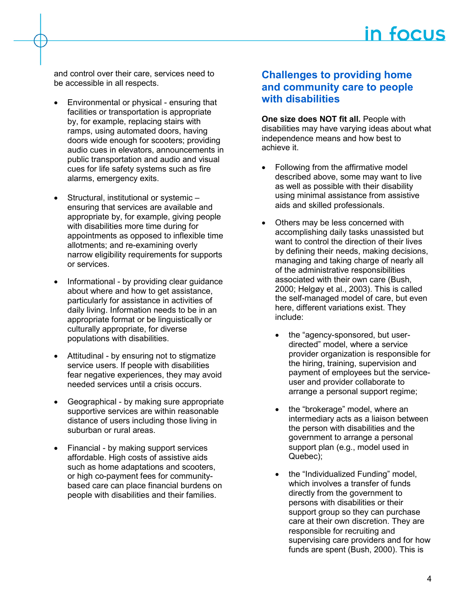and control over their care, services need to be accessible in all respects.

- Environmental or physical ensuring that facilities or transportation is appropriate by, for example, replacing stairs with ramps, using automated doors, having doors wide enough for scooters; providing audio cues in elevators, announcements in public transportation and audio and visual cues for life safety systems such as fire alarms, emergency exits.
- Structural, institutional or systemic ensuring that services are available and appropriate by, for example, giving people with disabilities more time during for appointments as opposed to inflexible time allotments; and re-examining overly narrow eligibility requirements for supports or services.
- Informational by providing clear guidance about where and how to get assistance, particularly for assistance in activities of daily living. Information needs to be in an appropriate format or be linguistically or culturally appropriate, for diverse populations with disabilities.
- Attitudinal by ensuring not to stigmatize service users. If people with disabilities fear negative experiences, they may avoid needed services until a crisis occurs.
- Geographical by making sure appropriate supportive services are within reasonable distance of users including those living in suburban or rural areas.
- Financial by making support services affordable. High costs of assistive aids such as home adaptations and scooters, or high co-payment fees for communitybased care can place financial burdens on people with disabilities and their families.

### **Challenges to providing home and community care to people with disabilities**

**One size does NOT fit all. People with** disabilities may have varying ideas about what independence means and how best to achieve it.

- Following from the affirmative model described above, some may want to live as well as possible with their disability using minimal assistance from assistive aids and skilled professionals.
- Others may be less concerned with accomplishing daily tasks unassisted but want to control the direction of their lives by defining their needs, making decisions, managing and taking charge of nearly all of the administrative responsibilities associated with their own care (Bush, 2000; Helgøy et al., 2003). This is called the self-managed model of care, but even here, different variations exist. They include:
	- the "agency-sponsored, but userdirected" model, where a service provider organization is responsible for the hiring, training, supervision and payment of employees but the serviceuser and provider collaborate to arrange a personal support regime;
	- the "brokerage" model, where an intermediary acts as a liaison between the person with disabilities and the government to arrange a personal support plan (e.g., model used in Quebec);
	- the "Individualized Funding" model, which involves a transfer of funds directly from the government to persons with disabilities or their support group so they can purchase care at their own discretion. They are responsible for recruiting and supervising care providers and for how funds are spent (Bush, 2000). This is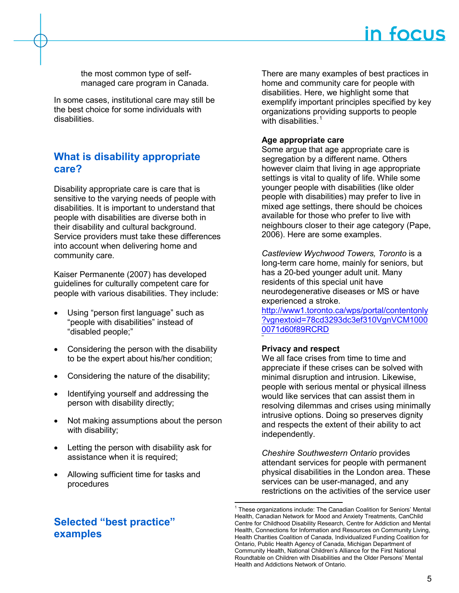the most common type of selfmanaged care program in Canada.

In some cases, institutional care may still be the best choice for some individuals with disabilities.

### **What is disability appropriate care?**

Disability appropriate care is care that is sensitive to the varying needs of people with disabilities. It is important to understand that people with disabilities are diverse both in their disability and cultural background. Service providers must take these differences into account when delivering home and community care.

Kaiser Permanente (2007) has developed guidelines for culturally competent care for people with various disabilities. They include:

- Using "person first language" such as "people with disabilities" instead of "disabled people;"
- Considering the person with the disability to be the expert about his/her condition;
- Considering the nature of the disability;
- Identifying yourself and addressing the person with disability directly;
- Not making assumptions about the person with disability;
- Letting the person with disability ask for assistance when it is required;
- Allowing sufficient time for tasks and procedures

# <span id="page-4-0"></span>**Selected "best practice" examples**

There are many examples of best practices in home and community care for people with disabilities. Here, we highlight some that exemplify important principles specified by key organizations providing supports to people with disabilities. $1$ 

### **Age appropriate care**

Some argue that age appropriate care is segregation by a different name. Others however claim that living in age appropriate settings is vital to quality of life. While some younger people with disabilities (like older people with disabilities) may prefer to live in mixed age settings, there should be choices available for those who prefer to live with neighbours closer to their age category (Pape, 2006). Here are some examples.

*Castleview Wychwood Towers, Toronto* is a long-term care home, mainly for seniors, but has a 20-bed younger adult unit. Many residents of this special unit have neurodegenerative diseases or MS or have experienced a stroke.

[http://www1.toronto.ca/wps/portal/contentonly](http://www1.toronto.ca/wps/portal/contentonly?vgnextoid=78cd3293dc3ef310VgnVCM10000071d60f89RCRD) [?vgnextoid=78cd3293dc3ef310VgnVCM1000](http://www1.toronto.ca/wps/portal/contentonly?vgnextoid=78cd3293dc3ef310VgnVCM10000071d60f89RCRD) [0071d60f89RCRD](http://www1.toronto.ca/wps/portal/contentonly?vgnextoid=78cd3293dc3ef310VgnVCM10000071d60f89RCRD)

### **Privacy and respect**

We all face crises from time to time and appreciate if these crises can be solved with minimal disruption and intrusion. Likewise, people with serious mental or physical illness would like services that can assist them in resolving dilemmas and crises using minimally intrusive options. Doing so preserves dignity and respects the extent of their ability to act independently.

*Cheshire Southwestern Ontario* provides attendant services for people with permanent physical disabilities in the London area. These services can be user-managed, and any restrictions on the activities of the service user

<sup>&</sup>lt;sup>1</sup> These organizations include: The Canadian Coalition for Seniors' Mental Health, Canadian Network for Mood and Anxiety Treatments, CanChild Centre for Childhood Disability Research, Centre for Addiction and Mental Health, Connections for Information and Resources on Community Living, Health Charities Coalition of Canada, Individualized Funding Coalition for Ontario, Public Health Agency of Canada, Michigan Department of Community Health, National Children's Alliance for the First National Roundtable on Children with Disabilities and the Older Persons' Mental Health and Addictions Network of Ontario.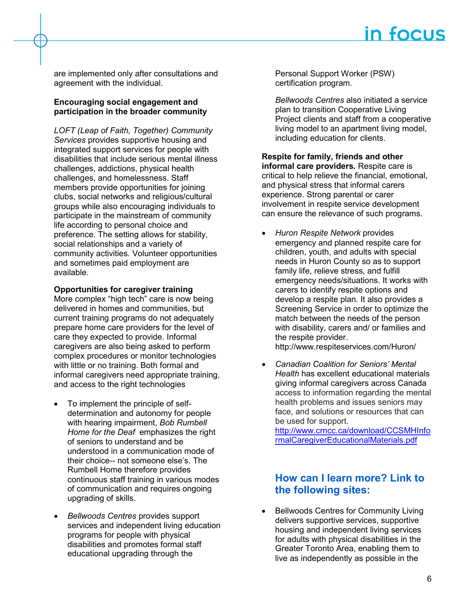are implemented only after consultations and agreement with the individual.

#### **Encouraging social engagement and participation in the broader community**

*LOFT (Leap of Faith, Together) Community Services* provides supportive housing and integrated support services for people with disabilities that include serious mental illness challenges, addictions, physical health challenges, and homelessness. Staff members provide opportunities for joining clubs, social networks and religious/cultural groups while also encouraging individuals to participate in the mainstream of community life according to personal choice and preference. The setting allows for stability, social relationships and a variety of community activities. Volunteer opportunities and sometimes paid employment are available.

### **Opportunities for caregiver training**

More complex "high tech" care is now being delivered in homes and communities, but current training programs do not adequately prepare home care providers for the level of care they expected to provide. Informal caregivers are also being asked to perform complex procedures or monitor technologies with little or no training. Both formal and informal caregivers need appropriate training, and access to the right technologies

- To implement the principle of selfdetermination and autonomy for people with hearing impairment, *Bob Rumbell Home for the Deaf* emphasizes the right of seniors to understand and be understood in a communication mode of their choice-- not someone else's. The Rumbell Home therefore provides continuous staff training in various modes of communication and requires ongoing upgrading of skills.
- *Bellwoods Centres* provides support services and independent living education programs for people with physical disabilities and promotes formal staff educational upgrading through the

Personal Support Worker (PSW) certification program.

*Bellwoods Centres* also initiated a service plan to transition Cooperative Living Project clients and staff from a cooperative living model to an apartment living model, including education for clients.

**Respite for family, friends and other informal care providers.** Respite care is critical to help relieve the financial, emotional, and physical stress that informal carers experience. Strong parental or carer involvement in respite service development can ensure the relevance of such programs.

• *Huron Respite Network* provides emergency and planned respite care for children, youth, and adults with special needs in Huron County so as to support family life, relieve stress, and fulfill emergency needs/situations. It works with carers to identify respite options and develop a respite plan. It also provides a Screening Service in order to optimize the match between the needs of the person with disability, carers and/ or families and the respite provider.

http://www.respiteservices.com/Huron/

• *Canadian Coalition for Seniors' Mental Health* has excellent educational materials giving informal caregivers across Canada access to information regarding the mental health problems and issues seniors may face, and solutions or resources that can be used for support.

[http://www.crncc.ca/download/CCSMHInfo](http://mail.arts.ryerson.ca/exchweb/bin/redir.asp?URL=http://www.crncc.ca/download/CCSMHInformalCaregiverEducationalMaterials.pdf) [rmalCaregiverEducationalMaterials.pdf](http://mail.arts.ryerson.ca/exchweb/bin/redir.asp?URL=http://www.crncc.ca/download/CCSMHInformalCaregiverEducationalMaterials.pdf)

### **How can I learn more? Link to the following sites:**

• Bellwoods Centres for Community Living delivers supportive services, supportive housing and independent living services for adults with physical disabilities in the Greater Toronto Area, enabling them to live as independently as possible in the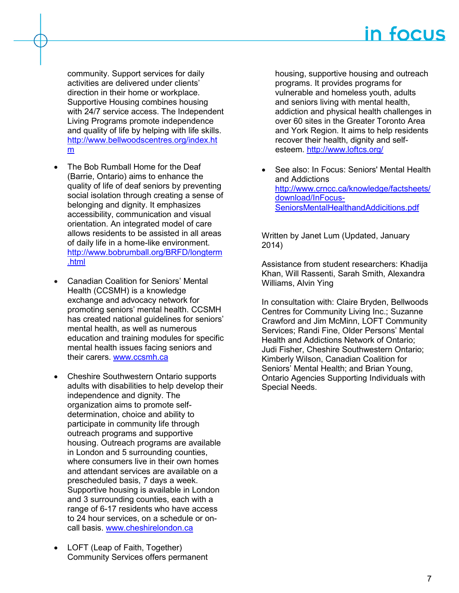community. Support services for daily activities are delivered under clients' direction in their home or workplace. Supportive Housing combines housing with 24/7 service access. The Independent Living Programs promote independence and quality of life by helping with life skills. [http://www.bellwoodscentres.org/index.ht](http://www.bellwoodscentres.org/index.htm) [m](http://www.bellwoodscentres.org/index.htm)

- The Bob Rumball Home for the Deaf (Barrie, Ontario) aims to enhance the quality of life of deaf seniors by preventing social isolation through creating a sense of belonging and dignity. It emphasizes accessibility, communication and visual orientation. An integrated model of care allows residents to be assisted in all areas of daily life in a home-like environment. [http://www.bobrumball.org/BRFD/longterm](http://www.bobrumball.org/BRFD/longterm.html) [.html](http://www.bobrumball.org/BRFD/longterm.html)
- Canadian Coalition for Seniors' Mental Health (CCSMH) is a knowledge exchange and advocacy network for promoting seniors' mental health. CCSMH has created national guidelines for seniors' mental health, as well as numerous education and training modules for specific mental health issues facing seniors and their carers. [www.ccsmh.ca](http://www.ccsmh.ca/)
- Cheshire Southwestern Ontario supports adults with disabilities to help develop their independence and dignity. The organization aims to promote selfdetermination, choice and ability to participate in community life through outreach programs and supportive housing. Outreach programs are available in London and 5 surrounding counties, where consumers live in their own homes and attendant services are available on a prescheduled basis, 7 days a week. Supportive housing is available in London and 3 surrounding counties, each with a range of 6-17 residents who have access to 24 hour services, on a schedule or oncall basis. [www.cheshirelondon.ca](http://www.cheshirelondon.ca/)
- LOFT (Leap of Faith, Together) Community Services offers permanent

housing, supportive housing and outreach programs. It provides programs for vulnerable and homeless youth, adults and seniors living with mental health, addiction and physical health challenges in over 60 sites in the Greater Toronto Area and York Region. It aims to help residents recover their health, dignity and selfesteem.<http://www.loftcs.org/>

• See also: In Focus: Seniors' Mental Health and Addictions [http://www.crncc.ca/knowledge/factsheets/](http://www.crncc.ca/knowledge/factsheets/download/InFocus-SeniorsMentalHealthandAddicitions.pdf) [download/InFocus-](http://www.crncc.ca/knowledge/factsheets/download/InFocus-SeniorsMentalHealthandAddicitions.pdf)[SeniorsMentalHealthandAddicitions.pdf](http://www.crncc.ca/knowledge/factsheets/download/InFocus-SeniorsMentalHealthandAddicitions.pdf)

Written by Janet Lum (Updated, January 2014)

Assistance from student researchers: Khadija Khan, Will Rassenti, Sarah Smith, Alexandra Williams, Alvin Ying

In consultation with: Claire Bryden, Bellwoods Centres for Community Living Inc.; Suzanne Crawford and Jim McMinn, LOFT Community Services; Randi Fine, Older Persons' Mental Health and Addictions Network of Ontario; Judi Fisher, Cheshire Southwestern Ontario; Kimberly Wilson, Canadian Coalition for Seniors' Mental Health; and Brian Young, Ontario Agencies Supporting Individuals with Special Needs.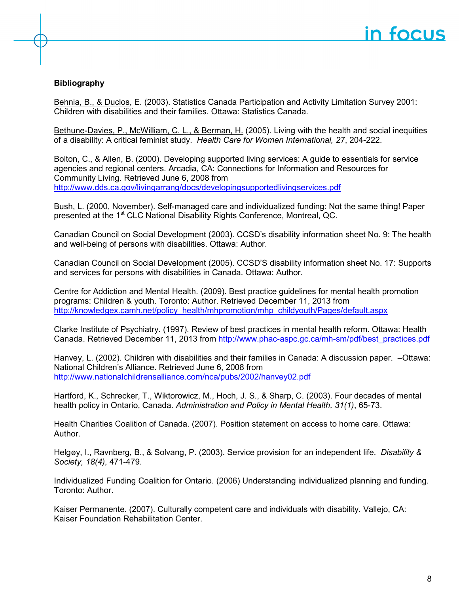### **Bibliography**

[Behnia, B., & Duclos,](file:///C:\Documents%20and%20Settings\swwikim\AppData\Local\Microsoft\Windows\Temporary%20Internet%20Files\Content.Outlook\AppData\Local\Microsoft\jlum\AppData\Local\Microsoft\Windows\Temporary%20Internet%20Files\Content.Outlook\ATG9W3I8\Biblio\Behnia%20and%20Duclos%20(2003)%20-%20PALS2001%20Children%20WD%20and%20their%20fams.pdf) E. (2003). Statistics Canada Participation and Activity Limitation Survey 2001: Children with disabilities and their families. Ottawa: Statistics Canada.

[Bethune-Davies, P., McWilliam, C. L., & Berman, H.](file:///C:\Documents%20and%20Settings\swwikim\AppData\Local\Microsoft\Windows\Temporary%20Internet%20Files\Content.Outlook\AppData\Local\Microsoft\jlum\AppData\Local\Microsoft\Windows\Temporary%20Internet%20Files\Content.Outlook\ATG9W3I8\Biblio\Bethune-Davies%20(2007)%20-%20Living%20With%20the%20Health%20and%20Social%20Inequities%20of%20a%20Disability.pdf) (2005). Living with the health and social inequities of a disability: A critical feminist study. *Health Care for Women International, 27*, 204-222.

Bolton, C., & Allen, B. (2000). Developing supported living services: A guide to essentials for service agencies and regional centers. Arcadia, CA: Connections for Information and Resources for Community Living. Retrieved June 6, 2008 from <http://www.dds.ca.gov/livingarrang/docs/developingsupportedlivingservices.pdf>

Bush, L. (2000, November). Self-managed care and individualized funding: Not the same thing! Paper presented at the 1<sup>st</sup> CLC National Disability Rights Conference, Montreal, QC.

Canadian Council on Social Development (2003). CCSD's disability information sheet No. 9: The health and well-being of persons with disabilities. Ottawa: Author.

Canadian Council on Social Development (2005). CCSD'S disability information sheet No. 17: Supports and services for persons with disabilities in Canada. Ottawa: Author.

Centre for Addiction and Mental Health. (2009). Best practice guidelines for mental health promotion programs: Children & youth. Toronto: Author. Retrieved December 11, 2013 from [http://knowledgex.camh.net/policy\\_health/mhpromotion/mhp\\_childyouth/Pages/default.aspx](http://knowledgex.camh.net/policy_health/mhpromotion/mhp_childyouth/Pages/default.aspx)

Clarke Institute of Psychiatry. (1997). Review of best practices in mental health reform. Ottawa: Health Canada. Retrieved December 11, 2013 from [http://www.phac-aspc.gc.ca/mh-sm/pdf/best\\_practices.pdf](http://www.phac-aspc.gc.ca/mh-sm/pdf/best_practices.pdf)

Hanvey, L. (2002). Children with disabilities and their families in Canada: A discussion paper. –Ottawa: National Children's Alliance. Retrieved June 6, 2008 from <http://www.nationalchildrensalliance.com/nca/pubs/2002/hanvey02.pdf>

Hartford, K., Schrecker, T., Wiktorowicz, M., Hoch, J. S., & Sharp, C. (2003). Four decades of mental health policy in Ontario, Canada. *Administration and Policy in Mental Health, 31(1)*, 65-73.

Health Charities Coalition of Canada. (2007). Position statement on access to home care. Ottawa: Author.

Helgøy, I., Ravnberg, B., & Solvang, P. (2003). Service provision for an independent life. *Disability & Society, 18(4)*, 471-479.

Individualized Funding Coalition for Ontario. (2006) Understanding individualized planning and funding. Toronto: Author.

Kaiser Permanente. (2007). Culturally competent care and individuals with disability. Vallejo, CA: Kaiser Foundation Rehabilitation Center.